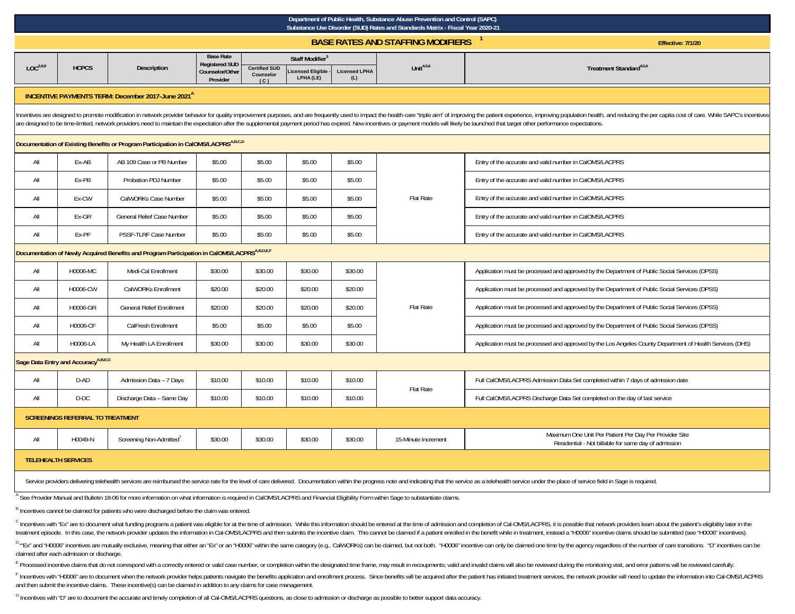|                                                                                                                | Department of Public Health, Substance Abuse Prevention and Control (SAPC)<br>Substance Use Disorder (SUD) Rates and Standards Matrix - Fiscal Year 2020-21 |                                                                     |                                           |                      |                               |                             |                                                         |                                                                                                                                                                                                                                                                                                                                                                                                                                                                 |  |  |  |  |
|----------------------------------------------------------------------------------------------------------------|-------------------------------------------------------------------------------------------------------------------------------------------------------------|---------------------------------------------------------------------|-------------------------------------------|----------------------|-------------------------------|-----------------------------|---------------------------------------------------------|-----------------------------------------------------------------------------------------------------------------------------------------------------------------------------------------------------------------------------------------------------------------------------------------------------------------------------------------------------------------------------------------------------------------------------------------------------------------|--|--|--|--|
|                                                                                                                |                                                                                                                                                             |                                                                     |                                           |                      |                               |                             | <b>BASE RATES AND STAFFING MODIFIERS</b>                | Effective: 7/1/20                                                                                                                                                                                                                                                                                                                                                                                                                                               |  |  |  |  |
| LOC <sup>2,8,9</sup>                                                                                           | <b>HCPCS</b>                                                                                                                                                | Description                                                         | <b>Base Rate</b><br><b>Registered SUD</b> | <b>Certified SUD</b> | Staff Modifier <sup>3</sup>   |                             | Unit $4,5,6$                                            | Treatment Standard <sup>4,5,6</sup>                                                                                                                                                                                                                                                                                                                                                                                                                             |  |  |  |  |
|                                                                                                                |                                                                                                                                                             |                                                                     | Counselor/Other<br>Provider               | Counselor<br>(C)     | icensed Eligible<br>LPHA (LE) | <b>Licensed LPHA</b><br>(L) |                                                         |                                                                                                                                                                                                                                                                                                                                                                                                                                                                 |  |  |  |  |
|                                                                                                                |                                                                                                                                                             | <b>INCENTIVE PAYMENTS TERM: December 2017-June 2021<sup>A</sup></b> |                                           |                      |                               |                             |                                                         |                                                                                                                                                                                                                                                                                                                                                                                                                                                                 |  |  |  |  |
|                                                                                                                |                                                                                                                                                             |                                                                     |                                           |                      |                               |                             |                                                         | Incentives are designed to promote modification in network provider behavior for quality improvement purposes, and are frequently used to impact the health care "triple aim" of improving the patient experience, improving p<br>are designed to be time-limited, network providers need to maintain the expectation after the supplemental payment period has expired. New incentives or payment models will likely be launched that target other performance |  |  |  |  |
| Documentation of Existing Benefits or Program Participation in CalOMS/LACPRSA,B,C,D                            |                                                                                                                                                             |                                                                     |                                           |                      |                               |                             |                                                         |                                                                                                                                                                                                                                                                                                                                                                                                                                                                 |  |  |  |  |
| All<br>Ex-AB<br>AB 109 Case or PB Number<br>\$5.00<br>\$5.00<br>\$5.00<br>\$5.00                               |                                                                                                                                                             |                                                                     |                                           |                      |                               |                             | Entry of the accurate and valid number in CalOMS/LACPRS |                                                                                                                                                                                                                                                                                                                                                                                                                                                                 |  |  |  |  |
| All                                                                                                            | Ex-PB                                                                                                                                                       | Probation PDJ Number                                                | \$5.00                                    | \$5.00               | \$5.00                        | \$5.00                      |                                                         | Entry of the accurate and valid number in CalOMS/LACPRS                                                                                                                                                                                                                                                                                                                                                                                                         |  |  |  |  |
| All                                                                                                            | Ex-CW                                                                                                                                                       | CalWORKs Case Number                                                | \$5.00                                    | \$5.00               | \$5.00                        | \$5.00                      | Flat Rate                                               | Entry of the accurate and valid number in CalOMS/LACPRS                                                                                                                                                                                                                                                                                                                                                                                                         |  |  |  |  |
| All                                                                                                            | Ex-GR                                                                                                                                                       | General Relief Case Number                                          | \$5.00                                    | \$5.00               | \$5.00                        | \$5.00                      |                                                         | Entry of the accurate and valid number in CalOMS/LACPRS                                                                                                                                                                                                                                                                                                                                                                                                         |  |  |  |  |
| All                                                                                                            | Ex-PF                                                                                                                                                       | PSSF-TLRF Case Number                                               | \$5.00                                    | \$5.00               | \$5.00                        | \$5.00                      |                                                         | Entry of the accurate and valid number in CalOMS/LACPRS                                                                                                                                                                                                                                                                                                                                                                                                         |  |  |  |  |
| <b>Documentation of Newly Acquired Benefits and Program Participation in CalOMS/LACPRS<sup>A,B,D,E,F</sup></b> |                                                                                                                                                             |                                                                     |                                           |                      |                               |                             |                                                         |                                                                                                                                                                                                                                                                                                                                                                                                                                                                 |  |  |  |  |
| All                                                                                                            | H0006-MC                                                                                                                                                    | Medi-Cal Enrollment                                                 | \$30.00                                   | \$30.00              | \$30.00                       | \$30.00                     |                                                         | Application must be processed and approved by the Department of Public Social Services (DPSS)                                                                                                                                                                                                                                                                                                                                                                   |  |  |  |  |
| All                                                                                                            | H0006-CW                                                                                                                                                    | CalWORKs Enrollment                                                 | \$20.00                                   | \$20.00              | \$20.00                       | \$20.00                     |                                                         | Application must be processed and approved by the Department of Public Social Services (DPSS)                                                                                                                                                                                                                                                                                                                                                                   |  |  |  |  |
| All                                                                                                            | H0006-GR                                                                                                                                                    | <b>General Relief Enrollment</b>                                    | \$20.00                                   | \$20.00              | \$20.00                       | \$20.00                     | Flat Rate                                               | Application must be processed and approved by the Department of Public Social Services (DPSS)                                                                                                                                                                                                                                                                                                                                                                   |  |  |  |  |
| All                                                                                                            | H0006-CF                                                                                                                                                    | CalFresh Enrollment                                                 | \$5.00                                    | \$5.00               | \$5.00                        | \$5.00                      |                                                         | Application must be processed and approved by the Department of Public Social Services (DPSS)                                                                                                                                                                                                                                                                                                                                                                   |  |  |  |  |
| All                                                                                                            | H0006-LA                                                                                                                                                    | My Health LA Enrollment                                             | \$30.00                                   | \$30.00              | \$30.00                       | \$30.00                     |                                                         | Application must be processed and approved by the Los Angeles County Department of Health Services (DHS)                                                                                                                                                                                                                                                                                                                                                        |  |  |  |  |
|                                                                                                                | Sage Data Entry and Accuracy <sup>A,B,E,G</sup>                                                                                                             |                                                                     |                                           |                      |                               |                             |                                                         |                                                                                                                                                                                                                                                                                                                                                                                                                                                                 |  |  |  |  |
| All                                                                                                            | D-AD                                                                                                                                                        | Admission Data - 7 Days                                             | \$10.00                                   | \$10.00              | \$10.00                       | \$10.00                     | Flat Rate                                               | Full CalOMS/LACPRS Admission Data Set completed within 7 days of admission date                                                                                                                                                                                                                                                                                                                                                                                 |  |  |  |  |
| All                                                                                                            | $D-DC$                                                                                                                                                      | Discharge Data - Same Day                                           | \$10.00                                   | \$10.00              | \$10.00                       | \$10.00                     |                                                         | Full CalOMS/LACPRS Discharge Data Set completed on the day of last service                                                                                                                                                                                                                                                                                                                                                                                      |  |  |  |  |
|                                                                                                                | <b>SCREENINGS REFERRAL TO TREATMENT</b>                                                                                                                     |                                                                     |                                           |                      |                               |                             |                                                         |                                                                                                                                                                                                                                                                                                                                                                                                                                                                 |  |  |  |  |
| All                                                                                                            | H0049-N                                                                                                                                                     | Screening Non-Admitted <sup>7</sup>                                 | \$30.00                                   | \$30.00              | \$30.00                       | \$30.00                     | 15-Minute Increment                                     | Maximum One Unit Per Patient Per Day Per Provider Site<br>Residential - Not billable for same day of admission                                                                                                                                                                                                                                                                                                                                                  |  |  |  |  |
|                                                                                                                | <b>TELEHEALTH SERVICES</b>                                                                                                                                  |                                                                     |                                           |                      |                               |                             |                                                         |                                                                                                                                                                                                                                                                                                                                                                                                                                                                 |  |  |  |  |
|                                                                                                                |                                                                                                                                                             |                                                                     |                                           |                      |                               |                             |                                                         | Service providers delivering telehealth services are reimbursed the service rate for the level of care delivered. Documentation within the progress note and indicating that the service as a telehealth service under the pla                                                                                                                                                                                                                                  |  |  |  |  |

A See Provider Manual and Bulletin 18-06 for more information on what information is required in CalOMS/LACPRS and Financial Eligibility Form within Sage to substantiate claims.

B Incentives cannot be claimed for patients who were discharged before the claim was entered.

<sup>C</sup> Incentives with "Ex" are to document what funding programs a patient was eligible for at the time of admission. While this information should be entered at the time of admission and completion of Cal-OMS/LACPRS, it is treatment episode. In this case, the network provider updates the information in Cal-OMS/LACPRS and then submits the incentive claim. This cannot be claimed if a patient enrolled in the benefit while in treatment, instead

"Ex" and "H0006" incentives are mutually exclusive, meaning that either an "Ex" or an "H0006" within the same category (e.g., CalWORKs) can be claimed, but not both. "H0006" incentive can only be claimed one time by the ag claimed after each admission or discharge.

E Processed incentive claims that do not correspond with a correctly entered or valid case number, or completion within the designated time frame, may result in recoupments; valid and invalid claims will also be reviewed d

F Incentives with "H0006" are to document when the network provider helps patients navigate the benefits application and enrollment process. Since benefits will be acquired after the patient has initiated treatment service and then submit the incentive claims. These incentive(s) can be claimed in addition to any claims for case management.

<sup>G</sup> Incentives with "D" are to document the accurate and timely completion of all Cal-OMS/LACPRS questions, as close to admission or discharge as possible to better support data accuracy.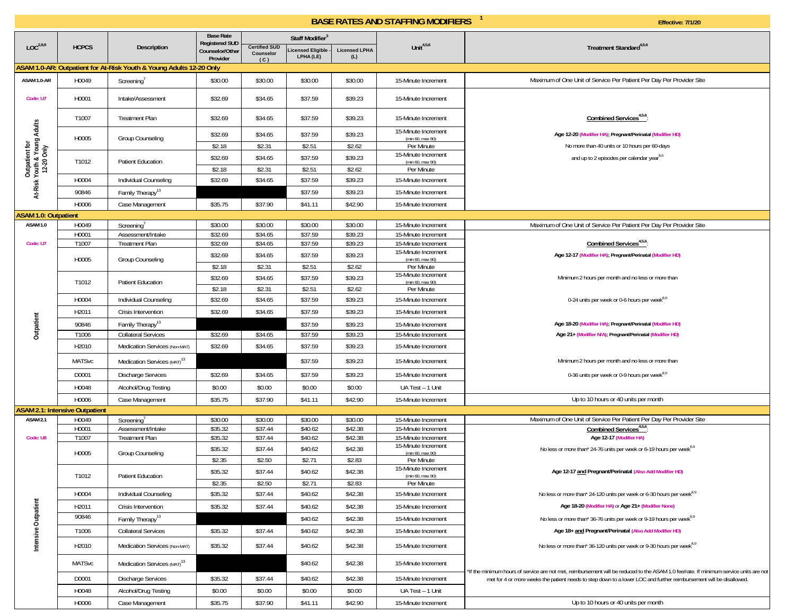|                                                              | <b>Base Rate</b><br>Staff Modifier <sup>3</sup><br><b>Registered SUD</b> |                                                                     |                   |                                   |                   |                      |                                            |                                                                                                                                        |
|--------------------------------------------------------------|--------------------------------------------------------------------------|---------------------------------------------------------------------|-------------------|-----------------------------------|-------------------|----------------------|--------------------------------------------|----------------------------------------------------------------------------------------------------------------------------------------|
| LOC <sup>2,8,9</sup>                                         | <b>HCPCS</b>                                                             | Description                                                         | Counselor/Other   | <b>Certified SUD</b><br>Counselor | icensed Eligible  | <b>Licensed LPHA</b> | Unit $4,5,6$                               | Treatment Standard <sup>4,5,6</sup>                                                                                                    |
|                                                              |                                                                          |                                                                     | Provider          | (C)                               | LPHA (LE)         | (L)                  |                                            |                                                                                                                                        |
|                                                              |                                                                          | ASAM 1.0-AR: Outpatient for At-Risk Youth & Young Adults 12-20 Only |                   |                                   |                   |                      |                                            |                                                                                                                                        |
| ASAM 1.0-AR                                                  | H0049                                                                    | Screening <sup>7</sup>                                              | \$30.00           | \$30.00                           | \$30.00           | \$30.00              | 15-Minute Increment                        | Maximum of One Unit of Service Per Patient Per Day Per Provider Site                                                                   |
| Code: U7                                                     | H0001                                                                    | Intake/Assessment                                                   | \$32.69           | \$34.65                           | \$37.59           | \$39.23              | 15-Minute Increment                        |                                                                                                                                        |
|                                                              | T1007                                                                    | <b>Treatment Plan</b>                                               | \$32.69           | \$34.65                           | \$37.59           | \$39.23              | 15-Minute Increment                        | Combined Services <sup>4,5,6</sup>                                                                                                     |
| Outpatient for<br>At-Risk Youth & Young Adults<br>12-20 Only | H0005                                                                    | Group Counseling                                                    | \$32.69           | \$34.65                           | \$37.59           | \$39.23              | 15-Minute Increment<br>(min 60, max 90)    | Age 12-20 (Modifier HA); Pregnant/Perinatal (Modifier HD)                                                                              |
|                                                              |                                                                          |                                                                     | \$2.18            | \$2.31                            | \$2.51            | \$2.62               | Per Minute                                 | No more than 40 units or 10 hours per 60-days                                                                                          |
|                                                              | T1012                                                                    | <b>Patient Education</b>                                            | \$32.69           | \$34.65                           | \$37.59           | \$39.23              | 15-Minute Increment<br>(min 60, max 90)    | and up to 2 episodes per calendar year <sup>8,9</sup>                                                                                  |
|                                                              |                                                                          |                                                                     | \$2.18            | \$2.31                            | \$2.51            | \$2.62               | Per Minute                                 |                                                                                                                                        |
|                                                              | H0004                                                                    | Individual Counseling                                               | \$32.69           | \$34.65                           | \$37.59           | \$39.23              | 15-Minute Increment                        |                                                                                                                                        |
|                                                              | 90846                                                                    | Family Therapy <sup>13</sup>                                        |                   |                                   | \$37.59           | \$39.23              | 15-Minute Increment                        |                                                                                                                                        |
|                                                              | H0006                                                                    | Case Management                                                     | \$35.75           | \$37.90                           | \$41.11           | \$42.90              | 15-Minute Increment                        |                                                                                                                                        |
| <b>ASAM 1.0: Outpatient</b>                                  |                                                                          |                                                                     |                   |                                   |                   |                      |                                            |                                                                                                                                        |
| ASAM 1.0                                                     | H0049                                                                    | Screening'                                                          | \$30.00           | \$30.00                           | \$30.00           | \$30.00              | 15-Minute Increment                        | Maximum of One Unit of Service Per Patient Per Day Per Provider Site                                                                   |
|                                                              | H0001                                                                    | Assessment/Intake                                                   | \$32.69           | \$34.65                           | \$37.59           | \$39.23              | 15-Minute Increment                        |                                                                                                                                        |
| Code: U7                                                     | T1007                                                                    | <b>Treatment Plan</b>                                               | \$32.69           | \$34.65                           | \$37.59           | \$39.23              | 15-Minute Increment<br>15-Minute Increment | Combined Services <sup>4,5,6</sup>                                                                                                     |
|                                                              | H0005                                                                    | Group Counseling                                                    | \$32.69           | \$34.65                           | \$37.59           | \$39.23              | (min 60, max 90)                           | Age 12-17 (Modifier HA); Pregnant/Perinatal (Modifier HD)                                                                              |
|                                                              |                                                                          |                                                                     | \$2.18            | \$2.31                            | \$2.51            | \$2.62               | Per Minute<br>15-Minute Increment          |                                                                                                                                        |
|                                                              | T1012                                                                    | <b>Patient Education</b>                                            | \$32.69           | \$34.65                           | \$37.59           | \$39.23              | (min 60, max 90)                           | Minimum 2 hours per month and no less or more than                                                                                     |
|                                                              |                                                                          |                                                                     | \$2.18            | \$2.31                            | \$2.51            | \$2.62               | Per Minute                                 |                                                                                                                                        |
|                                                              | H0004                                                                    | Individual Counseling                                               | \$32.69           | \$34.65                           | \$37.59           | \$39.23              | 15-Minute Increment                        | 0-24 units per week or 0-6 hours per week <sup>8,9</sup>                                                                               |
|                                                              | H2011                                                                    | Crisis Intervention                                                 | \$32.69           | \$34.65                           | \$37.59           | \$39.23              | 15-Minute Increment                        |                                                                                                                                        |
| Outpatient                                                   | 90846                                                                    | Family Therapy <sup>13</sup>                                        |                   |                                   | \$37.59           | \$39.23              | 15-Minute Increment                        | Age 18-20 (Modifier HA); Pregnant/Perinatal (Modifier HD)                                                                              |
|                                                              | T1006                                                                    | <b>Collateral Services</b>                                          | \$32.69           | \$34.65                           | \$37.59           | \$39.23              | 15-Minute Increment                        | Age 21+ (Modifier N/A); Pregnant/Perinatal (Modifier HD)                                                                               |
|                                                              | H2010                                                                    | Medication Services (Non-MAT)                                       | \$32.69           | \$34.65                           | \$37.59           | \$39.23              | 15-Minute Increment                        |                                                                                                                                        |
|                                                              | <b>MATSvc</b>                                                            | Medication Services (MAT) <sup>13</sup>                             |                   |                                   | \$37.59           | \$39.23              | 15-Minute Increment                        | Minimum 2 hours per month and no less or more than                                                                                     |
|                                                              | D0001                                                                    | <b>Discharge Services</b>                                           | \$32.69           | \$34.65                           | \$37.59           | \$39.23              | 15-Minute Increment                        | 0-36 units per week or 0-9 hours per week <sup>8,9</sup>                                                                               |
|                                                              | H0048                                                                    | Alcohol/Drug Testing                                                | \$0.00            | \$0.00                            | \$0.00            | \$0.00               | UA Test - 1 Unit                           |                                                                                                                                        |
|                                                              | H0006                                                                    | Case Management                                                     | \$35.75           | \$37.90                           | \$41.11           | \$42.90              | 15-Minute Increment                        | Up to 10 hours or 40 units per month                                                                                                   |
|                                                              | <b>ASAM 2.1: Intensive Outpatient</b>                                    |                                                                     |                   |                                   |                   |                      |                                            |                                                                                                                                        |
| ASAM <sub>2.1</sub>                                          | H0049                                                                    | Screening'                                                          | \$30.00           | \$30.00                           | \$30.00           | \$30.00              | 15-Minute Increment                        | Maximum of One Unit of Service Per Patient Per Day Per Provider Site                                                                   |
|                                                              | H0001                                                                    | Assessment/Intake                                                   | \$35.32           | \$37.44                           | \$40.62           | \$42.38              | 15-Minute Increment                        | Combined Services <sup>4,5,6</sup> :                                                                                                   |
| Code: U8                                                     | T1007                                                                    | <b>Treatment Plan</b>                                               | \$35.32           | \$37.44                           | \$40.62           | \$42.38              | 15-Minute Increment<br>15-Minute Increment | Age 12-17 (Modifier HA)                                                                                                                |
|                                                              | H0005                                                                    | Group Counseling                                                    | \$35.32<br>\$2.35 | \$37.44<br>\$2.50                 | \$40.62<br>\$2.71 | \$42.38<br>\$2.83    | (min 60, max 90)<br>Per Minute             | No less or more than* 24-76 units per week or 6-19 hours per week <sup>8,9</sup>                                                       |
|                                                              |                                                                          |                                                                     | \$35.32           | \$37.44                           | \$40.62           | \$42.38              | 15-Minute Increment                        | Age 12-17 and Pregnant/Perinatal (Also Add Modifier HD)                                                                                |
|                                                              | T1012                                                                    | <b>Patient Education</b>                                            | \$2.35            | \$2.50                            | \$2.71            | \$2.83               | (min 60, max 90)<br>Per Minute             |                                                                                                                                        |
|                                                              | H0004                                                                    | Individual Counseling                                               | \$35.32           | \$37.44                           | \$40.62           | \$42.38              | 15-Minute Increment                        | No less or more than* 24-120 units per week or 6-30 hours per week <sup>8,9</sup>                                                      |
|                                                              | H2011                                                                    | Crisis Intervention                                                 | \$35.32           | \$37.44                           | \$40.62           | \$42.38              | 15-Minute Increment                        | Age 18-20 (Modifier HA) or Age 21+ (Modifier None)                                                                                     |
|                                                              | 90846                                                                    | Family Therapy <sup>13</sup>                                        |                   |                                   |                   | \$42.38              |                                            | No less or more than* 36-76 units per week or 9-19 hours per week <sup>8,9</sup>                                                       |
|                                                              |                                                                          |                                                                     |                   |                                   | \$40.62           |                      | 15-Minute Increment                        |                                                                                                                                        |
| Intensive Outpatient                                         | T1006                                                                    | <b>Collateral Services</b>                                          | \$35.32           | \$37.44                           | \$40.62           | \$42.38              | 15-Minute Increment                        | Age 18+ and Pregnant/Perinatal (Also Add Modifier HD)                                                                                  |
|                                                              | H2010                                                                    | Medication Services (Non-MAT)                                       | \$35.32           | \$37.44                           | \$40.62           | \$42.38              | 15-Minute Increment                        | No less or more than* 36-120 units per week or 9-30 hours per week <sup>8,9</sup>                                                      |
|                                                              | <b>MATSvc</b>                                                            | Medication Services (MAT) <sup>13</sup>                             |                   |                                   | \$40.62           | \$42.38              | 15-Minute Increment                        | *If the minimum hours of service are not met, reimbursement will be reduced to the ASAM 1.0 fee/rate. If minimum service units are not |
|                                                              | D0001                                                                    | <b>Discharge Services</b>                                           | \$35.32           | \$37.44                           | \$40.62           | \$42.38              | 15-Minute Increment                        | met for 4 or more weeks the patient needs to step down to a lower LOC and further reimbursement will be disallowed.                    |
|                                                              | H0048                                                                    | Alcohol/Drug Testing                                                | \$0.00            | \$0.00                            | \$0.00            | \$0.00               | UA Test - 1 Unit                           |                                                                                                                                        |
|                                                              | H0006                                                                    | Case Management                                                     | \$35.75           | \$37.90                           | \$41.11           | \$42.90              | 15-Minute Increment                        | Up to 10 hours or 40 units per month                                                                                                   |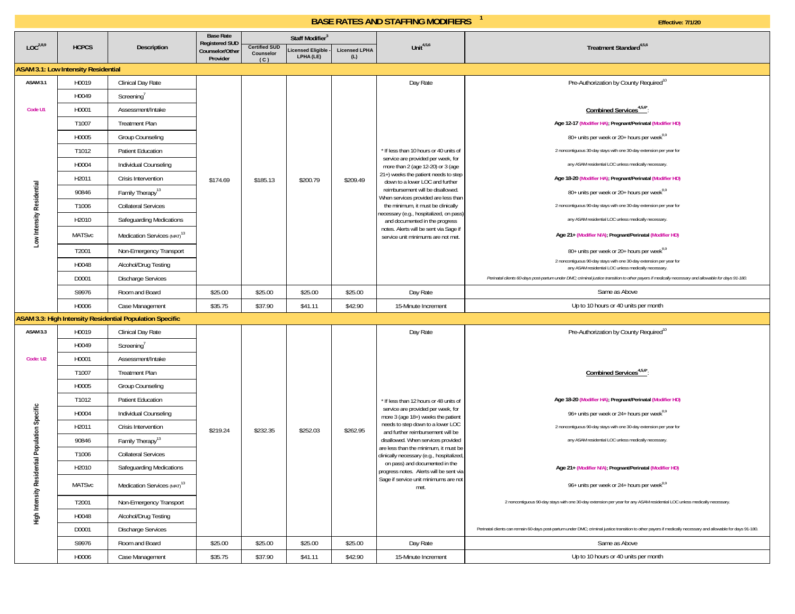|                                                |                                            |                                                          | <b>Base Rate</b>                                     |                                          | Staff Modifier <sup>3</sup>    |                             |                                                                               |                                                                                                                                                               |
|------------------------------------------------|--------------------------------------------|----------------------------------------------------------|------------------------------------------------------|------------------------------------------|--------------------------------|-----------------------------|-------------------------------------------------------------------------------|---------------------------------------------------------------------------------------------------------------------------------------------------------------|
| LOC <sup>2,8,9</sup>                           | <b>HCPCS</b>                               | <b>Description</b>                                       | <b>Registered SUD</b><br>Counselor/Other<br>Provider | <b>Certified SUD</b><br>Counselor<br>(C) | Licensed Eligible<br>LPHA (LE) | <b>Licensed LPHA</b><br>(L) | Unit $4,5,6$                                                                  | Treatment Standard <sup>4,5,6</sup>                                                                                                                           |
|                                                | <b>ASAM 3.1: Low Intensity Residential</b> |                                                          |                                                      |                                          |                                |                             |                                                                               |                                                                                                                                                               |
| ASAM 3.1                                       | H0019                                      | Clinical Day Rate                                        |                                                      |                                          |                                |                             | Day Rate                                                                      | Pre-Authorization by County Required <sup>10</sup>                                                                                                            |
|                                                | H0049                                      | Screening'                                               |                                                      |                                          |                                |                             |                                                                               |                                                                                                                                                               |
| Code U1                                        | H0001                                      | Assessment/Intake                                        |                                                      |                                          |                                |                             |                                                                               | Combined Services <sup>4,5,6*</sup> :                                                                                                                         |
|                                                | T1007                                      | <b>Treatment Plan</b>                                    |                                                      |                                          |                                |                             | If less than 10 hours or 40 units of<br>service are provided per week, for    | Age 12-17 (Modifier HA); Pregnant/Perinatal (Modifier HD)                                                                                                     |
|                                                | H0005                                      | Group Counseling                                         |                                                      |                                          |                                |                             |                                                                               | 80+ units per week or 20+ hours per week <sup>8,9</sup>                                                                                                       |
|                                                | T1012                                      | <b>Patient Education</b>                                 |                                                      |                                          |                                |                             |                                                                               | 2 noncontiguous 30-day stays with one 30-day extension per year for                                                                                           |
|                                                | H0004                                      | Individual Counseling                                    |                                                      |                                          |                                |                             | more than 2 (age 12-20) or 3 (age                                             | any ASAM residential LOC unless medically necessary.                                                                                                          |
|                                                | H2011                                      | Crisis Intervention                                      | \$174.69                                             | \$185.13                                 | \$200.79                       | \$209.49                    | 21+) weeks the patient needs to step<br>down to a lower LOC and further       | Age 18-20 (Modifier HA); Pregnant/Perinatal (Modifier HD)                                                                                                     |
|                                                | 90846                                      | Family Therapy <sup>13</sup>                             |                                                      |                                          |                                |                             | reimbursement will be disallowed.<br>When services provided are less than     | 80+ units per week or 20+ hours per week <sup>8,9</sup>                                                                                                       |
|                                                | T1006                                      | <b>Collateral Services</b>                               |                                                      |                                          |                                |                             | the minimum, it must be clinically<br>necessary (e.g., hospitalized, on pass) | 2 noncontiguous 90-day stays with one 30-day extension per year for                                                                                           |
|                                                | H2010                                      | Safeguarding Medications                                 |                                                      |                                          |                                |                             | and documented in the progress                                                | any ASAM residential LOC unless medically necessary.                                                                                                          |
| Low Intensity Residential                      | <b>MATSvc</b>                              | Medication Services (MAT) <sup>13</sup>                  |                                                      |                                          |                                |                             | notes. Alerts will be sent via Sage if<br>service unit minimums are not met   | Age 21+ (Modifier N/A); Pregnant/Perinatal (Modifier HD)                                                                                                      |
|                                                | T2001                                      | Non-Emergency Transport                                  |                                                      |                                          |                                |                             |                                                                               | 80+ units per week or 20+ hours per week <sup>8,9</sup>                                                                                                       |
|                                                | H0048                                      | Alcohol/Drug Testing                                     |                                                      |                                          |                                |                             |                                                                               | 2 noncontiguous 90-day stays with one 30-day extension per year for<br>any ASAM residential LOC unless medically necessary.                                   |
|                                                | D0001                                      | <b>Discharge Services</b>                                |                                                      |                                          |                                |                             |                                                                               | Perinatal clients 60-days post-partum under DMC; criminal justice transition to other payers if medically necessary and allowable for days 91-180.            |
|                                                | S9976                                      | Room and Board                                           | \$25.00                                              | \$25.00                                  | \$25.00                        | \$25.00                     | Day Rate                                                                      | Same as Above                                                                                                                                                 |
|                                                | H0006                                      | Case Management                                          | \$35.75                                              | \$37.90                                  | \$41.11                        | \$42.90                     | 15-Minute Increment                                                           | Up to 10 hours or 40 units per month                                                                                                                          |
|                                                |                                            | ASAM 3.3: High Intensity Residential Population Specific |                                                      |                                          |                                |                             |                                                                               |                                                                                                                                                               |
| ASAM 3.3                                       | H0019                                      | Clinical Day Rate                                        |                                                      |                                          |                                |                             | Day Rate                                                                      | Pre-Authorization by County Required <sup>10</sup>                                                                                                            |
|                                                | H0049                                      | Screening'                                               |                                                      |                                          |                                |                             |                                                                               |                                                                                                                                                               |
| Code: U2                                       | H0001                                      | Assessment/Intake                                        |                                                      |                                          |                                |                             |                                                                               |                                                                                                                                                               |
|                                                | T1007                                      | <b>Treatment Plan</b>                                    |                                                      |                                          |                                |                             |                                                                               | Combined Services <sup>4,5,6</sup>                                                                                                                            |
|                                                | H0005                                      | <b>Group Counseling</b>                                  |                                                      |                                          |                                |                             |                                                                               |                                                                                                                                                               |
|                                                | T1012                                      | <b>Patient Education</b>                                 |                                                      |                                          |                                |                             | If less than 12 hours or 48 units of<br>service are provided per week, for    | Age 18-20 (Modifier HA); Pregnant/Perinatal (Modifier HD)                                                                                                     |
|                                                | H0004                                      | Individual Counseling                                    |                                                      |                                          |                                |                             | more 3 (age 18+) weeks the patient                                            | 96+ units per week or 24+ hours per week <sup>8,9</sup>                                                                                                       |
|                                                | H2011                                      | Crisis Intervention                                      | \$219.24                                             | \$232.35                                 | \$252.03                       | \$262.95                    | needs to step down to a lower LOC<br>and further reimbursement will be        | 2 noncontiguous 90-day stays with one 30-day extension per year for                                                                                           |
|                                                | 90846                                      | Family Therapy <sup>13</sup>                             |                                                      |                                          |                                |                             | disallowed. When services provided<br>are less than the minimum, it must be   | any ASAM residential LOC unless medically necessary.                                                                                                          |
|                                                | T1006                                      | <b>Collateral Services</b>                               |                                                      |                                          |                                |                             | clinically necessary (e.g., hospitalized,<br>on pass) and documented in the   |                                                                                                                                                               |
|                                                | H2010                                      | Safeguarding Medications                                 |                                                      |                                          |                                |                             | progress notes. Alerts will be sent via                                       | Age 21+ (Modifier N/A); Pregnant/Perinatal (Modifier HD)                                                                                                      |
| High Intensity Residential Population Specific | <b>MATSvc</b>                              | Medication Services (MAT) <sup>13</sup>                  |                                                      |                                          |                                |                             | Sage if service unit minimums are not<br>met.                                 | 96+ units per week or 24+ hours per week <sup>8,9</sup>                                                                                                       |
|                                                | T2001                                      | Non-Emergency Transport                                  |                                                      |                                          |                                |                             |                                                                               | 2 noncontiguous 90-day stays with one 30-day extension per year for any ASAM residential LOC unless medically necessary.                                      |
|                                                | H0048                                      | Alcohol/Drug Testing                                     |                                                      |                                          |                                |                             |                                                                               |                                                                                                                                                               |
|                                                | D0001                                      | <b>Discharge Services</b>                                |                                                      |                                          |                                |                             |                                                                               | Perinatal clients can remain 60-days post-partum under DMC; criminal justice transition to other payers if medically necessary and allowable for days 91-180. |
|                                                | S9976                                      | Room and Board                                           | \$25.00                                              | \$25.00                                  | \$25.00                        | \$25.00                     | Day Rate                                                                      | Same as Above                                                                                                                                                 |
|                                                | H0006                                      | Case Management                                          | \$35.75                                              | \$37.90                                  | \$41.11                        | \$42.90                     | 15-Minute Increment                                                           | Up to 10 hours or 40 units per month                                                                                                                          |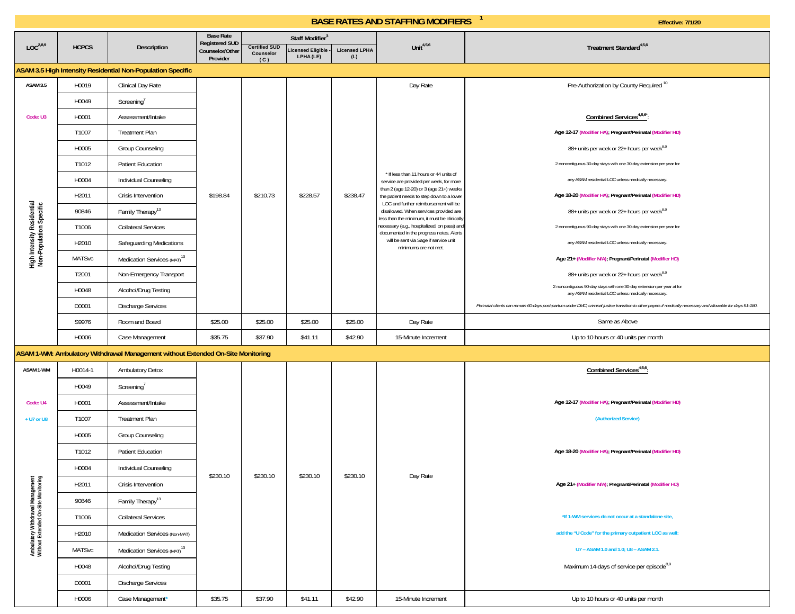|                                                                         |               |                                                                                 | <b>Base Rate</b><br><b>Registered SUD</b> |                                          | Staff Modifier <sup>3</sup>    |                             |                                                                                                                               |                                                                                                                                                               |
|-------------------------------------------------------------------------|---------------|---------------------------------------------------------------------------------|-------------------------------------------|------------------------------------------|--------------------------------|-----------------------------|-------------------------------------------------------------------------------------------------------------------------------|---------------------------------------------------------------------------------------------------------------------------------------------------------------|
| LOC <sup>2,8,9</sup>                                                    | <b>HCPCS</b>  | <b>Description</b>                                                              | Counselor/Other<br>Provider               | <b>Certified SUD</b><br>Counselor<br>(C) | Licensed Eligible<br>LPHA (LE) | <b>Licensed LPHA</b><br>(L) | Unit $4,5,6$                                                                                                                  | Treatment Standard <sup>4,5,6</sup>                                                                                                                           |
|                                                                         |               | ASAM 3.5 High Intensity Residential Non-Population Specific                     |                                           |                                          |                                |                             |                                                                                                                               |                                                                                                                                                               |
| ASAM 3.5                                                                | H0019         | Clinical Day Rate                                                               |                                           |                                          |                                |                             | Day Rate                                                                                                                      | Pre-Authorization by County Required <sup>10</sup>                                                                                                            |
|                                                                         | H0049         | Screening'                                                                      |                                           |                                          |                                |                             |                                                                                                                               |                                                                                                                                                               |
| Code: U3                                                                | H0001         | Assessment/Intake                                                               |                                           |                                          |                                |                             |                                                                                                                               | Combined Services <sup>4,5,6*</sup> :                                                                                                                         |
|                                                                         | T1007         | <b>Treatment Plan</b>                                                           |                                           |                                          |                                |                             |                                                                                                                               | Age 12-17 (Modifier HA); Pregnant/Perinatal (Modifier HD)                                                                                                     |
|                                                                         | H0005         | Group Counseling                                                                |                                           |                                          |                                |                             |                                                                                                                               | 88+ units per week or 22+ hours per week <sup>8,9</sup>                                                                                                       |
|                                                                         | T1012         | Patient Education                                                               |                                           |                                          |                                |                             | * If less than 11 hours or 44 units of<br>service are provided per week, for more                                             | 2 noncontiguous 30-day stays with one 30-day extension per year for                                                                                           |
|                                                                         | H0004         | Individual Counseling                                                           |                                           |                                          |                                |                             |                                                                                                                               | any ASAM residential LOC unless medically necessary.                                                                                                          |
|                                                                         | H2011         | Crisis Intervention                                                             | \$198.84                                  | \$210.73                                 | \$228.57                       | \$238.47                    | than 2 (age 12-20) or 3 (age 21+) weeks<br>the patient needs to step down to a lower<br>LOC and further reimbursement will be | Age 18-20 (Modifier HA); Pregnant/Perinatal (Modifier HD)                                                                                                     |
| High Intensity Residential<br>Non-Population Specific                   | 90846         | Family Therapy <sup>13</sup>                                                    |                                           |                                          |                                |                             | disallowed. When services provided are<br>less than the minimum, it must be clinically                                        | 88+ units per week or 22+ hours per week <sup>8,9</sup>                                                                                                       |
|                                                                         | T1006         | <b>Collateral Services</b>                                                      |                                           |                                          |                                |                             | necessary (e.g., hospitalized, on pass) and<br>documented in the progress notes. Alerts                                       | 2 noncontiguous 90-day stays with one 30-day extension per year for                                                                                           |
|                                                                         | H2010         | Safeguarding Medications                                                        |                                           |                                          |                                |                             | will be sent via Sage if service unit<br>minimums are not met.                                                                | any ASAM residential LOC unless medically necessary.                                                                                                          |
|                                                                         | <b>MATSvc</b> | Medication Services (MAT) <sup>13</sup>                                         |                                           |                                          |                                |                             |                                                                                                                               | Age 21+ (Modifier N/A); Pregnant/Perinatal (Modifier HD)                                                                                                      |
|                                                                         | T2001         | Non-Emergency Transport                                                         |                                           |                                          |                                |                             |                                                                                                                               | 88+ units per week or 22+ hours per week <sup>8,9</sup>                                                                                                       |
|                                                                         | H0048         | Alcohol/Drug Testing                                                            |                                           |                                          |                                |                             |                                                                                                                               | 2 noncontiguous 90-day stays with one 30-day extension per year at for<br>any ASAM residential LOC unless medically necessary.                                |
|                                                                         | D0001         | <b>Discharge Services</b>                                                       |                                           |                                          |                                |                             |                                                                                                                               | Perinatal clients can remain 60-days post-partum under DMC; criminal justice transition to other payers if medically necessary and allowable for days 91-180. |
|                                                                         | S9976         | Room and Board                                                                  | \$25.00                                   | \$25.00                                  | \$25.00                        | \$25.00                     | Day Rate                                                                                                                      | Same as Above                                                                                                                                                 |
|                                                                         | H0006         | Case Management                                                                 | \$35.75                                   | \$37.90                                  | \$41.11                        | \$42.90                     | 15-Minute Increment                                                                                                           | Up to 10 hours or 40 units per month                                                                                                                          |
|                                                                         |               | ASAM 1-WM: Ambulatory Withdrawal Management without Extended On-Site Monitoring |                                           |                                          |                                |                             |                                                                                                                               |                                                                                                                                                               |
| ASAM 1-WM                                                               | H0014-1       | <b>Ambulatory Detox</b>                                                         |                                           |                                          |                                |                             |                                                                                                                               | Combined Services <sup>4,5,6</sup> :                                                                                                                          |
|                                                                         | H0049         | Screening'                                                                      |                                           |                                          |                                |                             |                                                                                                                               |                                                                                                                                                               |
| Code: U4                                                                | H0001         | Assessment/Intake                                                               |                                           |                                          |                                |                             |                                                                                                                               | Age 12-17 (Modifier HA); Pregnant/Perinatal (Modifier HD)                                                                                                     |
| + U7 or U8                                                              | T1007         | <b>Treatment Plan</b>                                                           |                                           |                                          |                                |                             |                                                                                                                               | (Authorized Service)                                                                                                                                          |
|                                                                         | H0005         | Group Counseling                                                                |                                           |                                          |                                |                             |                                                                                                                               |                                                                                                                                                               |
|                                                                         | T1012         | Patient Education                                                               |                                           |                                          |                                |                             |                                                                                                                               | Age 18-20 (Modifier HA); Pregnant/Perinatal (Modifier HD)                                                                                                     |
|                                                                         | H0004         | Individual Counseling                                                           | \$230.10                                  | \$230.10                                 | \$230.10                       | \$230.10                    |                                                                                                                               |                                                                                                                                                               |
|                                                                         | H2011         | Crisis Intervention                                                             |                                           |                                          |                                |                             | Day Rate                                                                                                                      | Age 21+ (Modifier N/A); Pregnant/Perinatal (Modifier HD)                                                                                                      |
|                                                                         | 90846         | Family Therapy <sup>13</sup>                                                    |                                           |                                          |                                |                             |                                                                                                                               |                                                                                                                                                               |
|                                                                         | T1006         | <b>Collateral Services</b>                                                      |                                           |                                          |                                |                             |                                                                                                                               | *If 1-WM services do not occur at a standalone site,                                                                                                          |
|                                                                         | H2010         | Medication Services (Non-MAT)                                                   |                                           |                                          |                                |                             |                                                                                                                               | add the "U Code" for the primary outpatient LOC as well:                                                                                                      |
| Ambulatory Withdrawal Management<br>Without Extended On-Site Monitoring | <b>MATSvc</b> | Medication Services (MAT) <sup>13</sup>                                         |                                           |                                          |                                |                             |                                                                                                                               | U7 - ASAM 1.0 and 1.0; U8 - ASAM 2.1.                                                                                                                         |
|                                                                         | H0048         | Alcohol/Drug Testing                                                            |                                           |                                          |                                |                             |                                                                                                                               | Maximum 14-days of service per episode <sup>8,9</sup>                                                                                                         |
|                                                                         | D0001         | <b>Discharge Services</b>                                                       |                                           |                                          |                                |                             |                                                                                                                               |                                                                                                                                                               |
|                                                                         | H0006         | Case Management*                                                                | \$35.75                                   | \$37.90                                  | \$41.11                        | \$42.90                     | 15-Minute Increment                                                                                                           | Up to 10 hours or 40 units per month                                                                                                                          |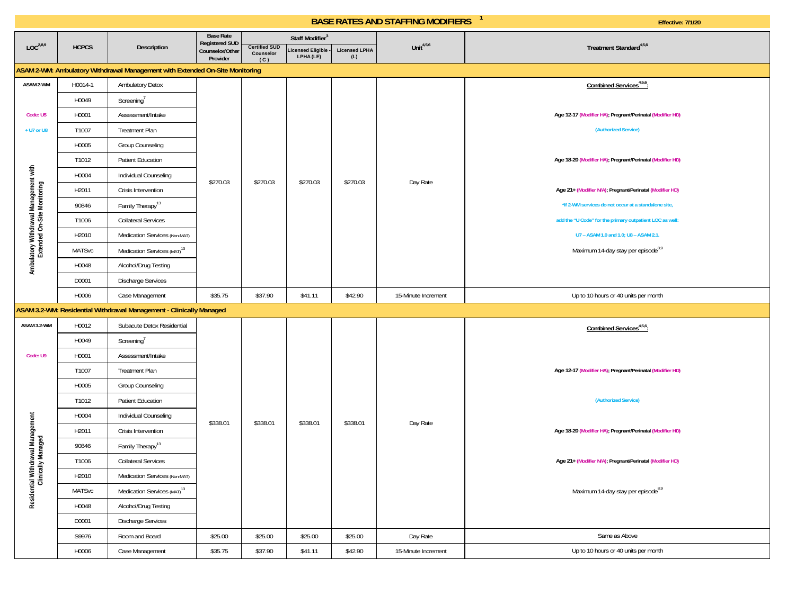|                                                                      |               |                                                                              | <b>Base Rate</b><br><b>Registered SUD</b> |                                          | Staff Modifier <sup>3</sup>   |                             |                     |                                                           |
|----------------------------------------------------------------------|---------------|------------------------------------------------------------------------------|-------------------------------------------|------------------------------------------|-------------------------------|-----------------------------|---------------------|-----------------------------------------------------------|
| LOC <sup>2,8,9</sup>                                                 | <b>HCPCS</b>  | <b>Description</b>                                                           | Counselor/Other<br>Provider               | <b>Certified SUD</b><br>Counselor<br>(C) | icensed Eligible<br>LPHA (LE) | <b>Licensed LPHA</b><br>(L) | Unit $4,5,6$        | Treatment Standard <sup>4,5,6</sup>                       |
|                                                                      |               | ASAM 2-WM: Ambulatory Withdrawal Management with Extended On-Site Monitoring |                                           |                                          |                               |                             |                     |                                                           |
| ASAM 2-WM                                                            | H0014-1       | <b>Ambulatory Detox</b>                                                      |                                           |                                          |                               |                             |                     | Combined Services <sup>4,5,6</sup> :                      |
|                                                                      | H0049         | Screening                                                                    |                                           |                                          |                               |                             |                     |                                                           |
| Code: U5                                                             | H0001         | Assessment/Intake                                                            |                                           |                                          |                               |                             |                     | Age 12-17 (Modifier HA); Pregnant/Perinatal (Modifier HD) |
| + U7 or U8                                                           | T1007         | <b>Treatment Plan</b>                                                        |                                           |                                          |                               |                             |                     | (Authorized Service)                                      |
|                                                                      | H0005         | <b>Group Counseling</b>                                                      |                                           |                                          |                               |                             |                     |                                                           |
|                                                                      | T1012         | Patient Education                                                            |                                           |                                          |                               |                             |                     | Age 18-20 (Modifier HA); Pregnant/Perinatal (Modifier HD) |
|                                                                      | H0004         | Individual Counseling                                                        | \$270.03                                  | \$270.03                                 | \$270.03                      | \$270.03                    | Day Rate            |                                                           |
|                                                                      | H2011         | Crisis Intervention                                                          |                                           |                                          |                               |                             |                     | Age 21+ (Modifier N/A); Pregnant/Perinatal (Modifier HD)  |
|                                                                      | 90846         | Family Therapy <sup>13</sup>                                                 |                                           |                                          |                               |                             |                     | *If 2-WM services do not occur at a standalone site,      |
|                                                                      | T1006         | <b>Collateral Services</b>                                                   |                                           |                                          |                               |                             |                     | add the "U Code" for the primary outpatient LOC as well:  |
|                                                                      | H2010         | Medication Services (Non-MAT)                                                |                                           |                                          |                               |                             |                     | U7 - ASAM 1.0 and 1.0; U8 - ASAM 2.1.                     |
| Ambulatory Withdrawal Management with<br>Extended On-Site Monitoring | <b>MATSvc</b> | Medication Services (MAT) <sup>13</sup>                                      |                                           |                                          |                               |                             |                     | Maximum 14-day stay per episode <sup>8,9</sup>            |
|                                                                      | H0048         | Alcohol/Drug Testing                                                         |                                           |                                          |                               |                             |                     |                                                           |
|                                                                      | D0001         | <b>Discharge Services</b>                                                    |                                           |                                          |                               |                             |                     |                                                           |
|                                                                      | H0006         | Case Management                                                              | \$35.75                                   | \$37.90                                  | \$41.11                       | \$42.90                     | 15-Minute Increment | Up to 10 hours or 40 units per month                      |
|                                                                      |               | ASAM 3.2-WM: Residential Withdrawal Management - Clinically Managed          |                                           |                                          |                               |                             |                     |                                                           |
| ASAM 3.2-WM                                                          | H0012         | Subacute Detox Residential                                                   |                                           |                                          |                               |                             |                     | Combined Services <sup>4,5,6</sup> :                      |
|                                                                      | H0049         | $Screening^7$                                                                |                                           |                                          |                               |                             |                     |                                                           |
| Code: U9                                                             | H0001         | Assessment/Intake                                                            |                                           |                                          |                               |                             |                     |                                                           |
|                                                                      | T1007         | <b>Treatment Plan</b>                                                        |                                           |                                          |                               |                             |                     | Age 12-17 (Modifier HA); Pregnant/Perinatal (Modifier HD) |
|                                                                      | H0005         | <b>Group Counseling</b>                                                      |                                           |                                          |                               |                             |                     |                                                           |
|                                                                      | T1012         | Patient Education                                                            |                                           |                                          |                               |                             |                     | (Authorized Service)                                      |
|                                                                      | H0004         | Individual Counseling                                                        | \$338.01                                  | \$338.01                                 | \$338.01                      | \$338.01                    | Day Rate            |                                                           |
|                                                                      | H2011         | Crisis Intervention                                                          |                                           |                                          |                               |                             |                     | Age 18-20 (Modifier HA); Pregnant/Perinatal (Modifier HD) |
|                                                                      | 90846         | Family Therapy <sup>13</sup>                                                 |                                           |                                          |                               |                             |                     |                                                           |
|                                                                      | T1006         | <b>Collateral Services</b>                                                   |                                           |                                          |                               |                             |                     | Age 21+ (Modifier N/A); Pregnant/Perinatal (Modifier HD)  |
|                                                                      | H2010         | Medication Services (Non-MAT)                                                |                                           |                                          |                               |                             |                     |                                                           |
| Residential Withdrawal Management<br>Clinically Managed              | <b>MATSvc</b> | Medication Services (MAT) <sup>13</sup>                                      |                                           |                                          |                               |                             |                     | Maximum 14-day stay per episode <sup>8,9</sup>            |
|                                                                      | H0048         | Alcohol/Drug Testing                                                         |                                           |                                          |                               |                             |                     |                                                           |
|                                                                      | D0001         | Discharge Services                                                           |                                           |                                          |                               |                             |                     |                                                           |
|                                                                      | S9976         | Room and Board                                                               | \$25.00                                   | \$25.00                                  | \$25.00                       | \$25.00                     | Day Rate            | Same as Above                                             |
|                                                                      | H0006         | Case Management                                                              | \$35.75                                   | \$37.90                                  | \$41.11                       | \$42.90                     | 15-Minute Increment | Up to 10 hours or 40 units per month                      |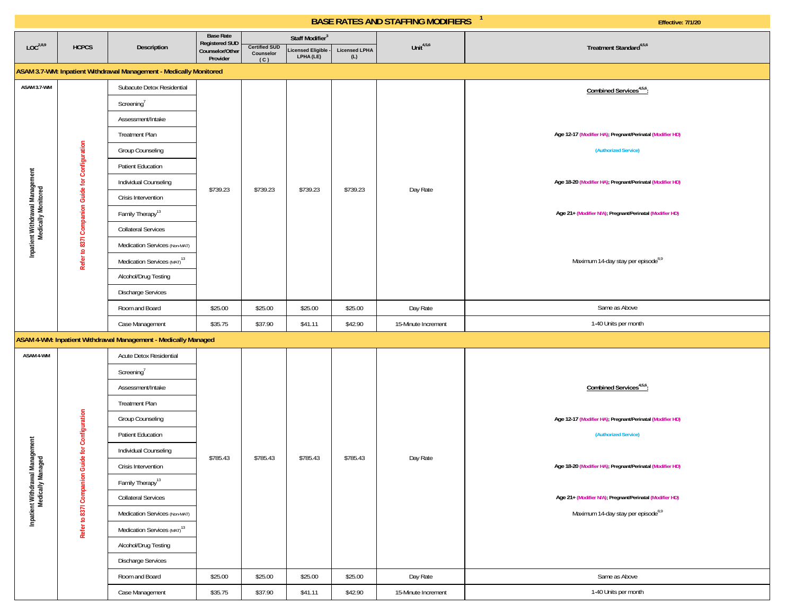|                                         |                                                                                                                                            |                                                                    | <b>Base Rate</b><br><b>Registered SUD</b> |                                          | Staff Modifier <sup>3</sup>    |                             |                     |                                                           |
|-----------------------------------------|--------------------------------------------------------------------------------------------------------------------------------------------|--------------------------------------------------------------------|-------------------------------------------|------------------------------------------|--------------------------------|-----------------------------|---------------------|-----------------------------------------------------------|
| LOC <sup>2,8,9</sup>                    | <b>HCPCS</b>                                                                                                                               | Description                                                        | Counselor/Other<br>Provider               | <b>Certified SUD</b><br>Counselor<br>(C) | Licensed Eligible<br>LPHA (LE) | <b>Licensed LPHA</b><br>(L) | Unit $4,5,6$        | Treatment Standard <sup>4,5,6</sup>                       |
|                                         |                                                                                                                                            | ASAM 3.7-WM: Inpatient Withdrawal Management - Medically Monitored |                                           |                                          |                                |                             |                     |                                                           |
| ASAM 3.7-WM                             |                                                                                                                                            | Subacute Detox Residential                                         |                                           |                                          |                                |                             |                     | Combined Services <sup>4,5,6</sup> :                      |
|                                         |                                                                                                                                            | Screening <sup>7</sup>                                             |                                           |                                          |                                |                             |                     |                                                           |
|                                         |                                                                                                                                            | Assessment/Intake                                                  |                                           |                                          |                                |                             |                     |                                                           |
|                                         |                                                                                                                                            | <b>Treatment Plan</b>                                              |                                           |                                          |                                |                             |                     | Age 12-17 (Modifier HA); Pregnant/Perinatal (Modifier HD) |
|                                         |                                                                                                                                            | <b>Group Counseling</b>                                            |                                           |                                          |                                |                             |                     | (Authorized Service)                                      |
|                                         |                                                                                                                                            | Patient Education                                                  |                                           |                                          |                                |                             |                     |                                                           |
|                                         |                                                                                                                                            | Individual Counseling                                              | \$739.23                                  | \$739.23                                 | \$739.23                       | \$739.23                    | Day Rate            | Age 18-20 (Modifier HA); Pregnant/Perinatal (Modifier HD) |
|                                         |                                                                                                                                            | Crisis Intervention                                                |                                           |                                          |                                |                             |                     |                                                           |
|                                         |                                                                                                                                            | Family Therapy <sup>13</sup>                                       |                                           |                                          |                                |                             |                     | Age 21+ (Modifier N/A); Pregnant/Perinatal (Modifier HD)  |
|                                         |                                                                                                                                            | <b>Collateral Services</b>                                         |                                           |                                          |                                |                             |                     |                                                           |
|                                         | Refer to 837l Companion Guide for Configuration<br>Inpatient Withdrawal Management<br>Medically Monitored<br>Medication Services (Non-MAT) |                                                                    |                                           |                                          |                                |                             |                     |                                                           |
| Medication Services (MAT) <sup>13</sup> | Maximum 14-day stay per episode <sup>8,9</sup>                                                                                             |                                                                    |                                           |                                          |                                |                             |                     |                                                           |
|                                         |                                                                                                                                            | Alcohol/Drug Testing                                               |                                           |                                          |                                |                             |                     |                                                           |
|                                         |                                                                                                                                            | Discharge Services                                                 |                                           |                                          |                                |                             |                     |                                                           |
|                                         |                                                                                                                                            | Room and Board                                                     | \$25.00                                   | \$25.00                                  | \$25.00                        | \$25.00                     | Day Rate            | Same as Above                                             |
|                                         |                                                                                                                                            | Case Management                                                    | \$35.75                                   | \$37.90                                  | \$41.11                        | \$42.90                     | 15-Minute Increment | 1-40 Units per month                                      |
|                                         |                                                                                                                                            | ASAM 4-WM: Inpatient Withdrawal Management - Medically Managed     |                                           |                                          |                                |                             |                     |                                                           |
| ASAM 4-WM                               |                                                                                                                                            | Acute Detox Residential                                            |                                           |                                          |                                |                             |                     |                                                           |
|                                         |                                                                                                                                            | Screening <sup>7</sup>                                             |                                           |                                          |                                |                             |                     |                                                           |
|                                         |                                                                                                                                            | Assessment/Intake                                                  |                                           |                                          |                                |                             |                     | Combined Services <sup>4,5,6</sup> :                      |
|                                         |                                                                                                                                            | <b>Treatment Plan</b>                                              |                                           |                                          |                                |                             |                     |                                                           |
|                                         |                                                                                                                                            | <b>Group Counseling</b>                                            |                                           |                                          |                                |                             |                     | Age 12-17 (Modifier HA); Pregnant/Perinatal (Modifier HD) |
|                                         |                                                                                                                                            | Patient Education                                                  |                                           |                                          |                                |                             |                     | (Authorized Service)                                      |
| val Management<br>Managed               | Guide for Configuration                                                                                                                    | Individual Counseling                                              | \$785.43                                  | \$785.43                                 | \$785.43                       | \$785.43                    | Day Rate            |                                                           |
|                                         |                                                                                                                                            | Crisis Intervention                                                |                                           |                                          |                                |                             |                     | Age 18-20 (Modifier HA); Pregnant/Perinatal (Modifier HD) |
|                                         |                                                                                                                                            | Family Therapy <sup>13</sup>                                       |                                           |                                          |                                |                             |                     |                                                           |
| Inpatient Withdrawa<br>Medically Ma     | Refer to 8371 Companion                                                                                                                    | <b>Collateral Services</b>                                         |                                           |                                          |                                |                             |                     | Age 21+ (Modifier N/A); Pregnant/Perinatal (Modifier HD)  |
|                                         |                                                                                                                                            | Medication Services (Non-MAT)                                      |                                           |                                          |                                |                             |                     | Maximum 14-day stay per episode <sup>8,9</sup>            |
|                                         |                                                                                                                                            | Medication Services (MAT) <sup>13</sup>                            |                                           |                                          |                                |                             |                     |                                                           |
|                                         |                                                                                                                                            | Alcohol/Drug Testing                                               |                                           |                                          |                                |                             |                     |                                                           |
|                                         |                                                                                                                                            | <b>Discharge Services</b>                                          |                                           |                                          |                                |                             |                     |                                                           |
|                                         |                                                                                                                                            | Room and Board                                                     | \$25.00                                   | \$25.00                                  | \$25.00                        | \$25.00                     | Day Rate            | Same as Above                                             |
|                                         |                                                                                                                                            | Case Management                                                    | \$35.75                                   | \$37.90                                  | \$41.11                        | \$42.90                     | 15-Minute Increment | 1-40 Units per month                                      |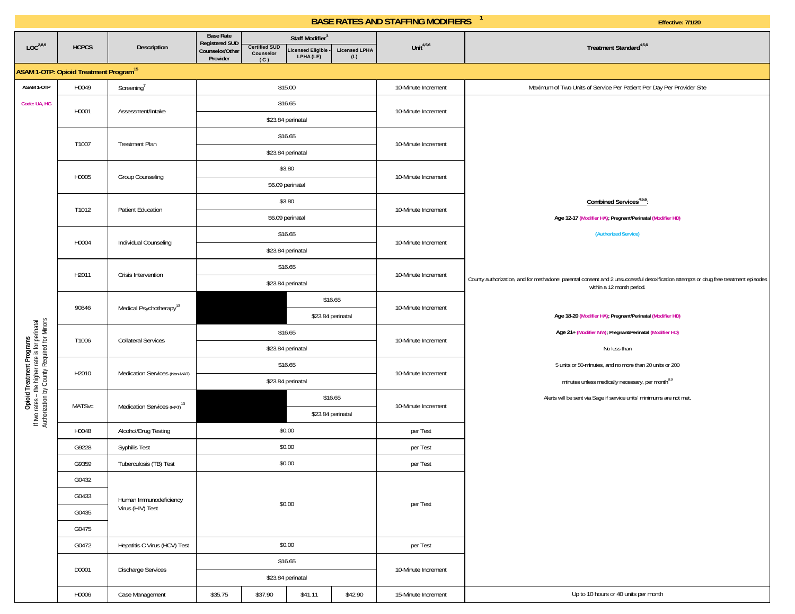|  |  | Effective: 7/1/20 |  |  |
|--|--|-------------------|--|--|
|  |  |                   |  |  |

|                                                                                                                             |                                                          |                                         | <b>Base Rate</b><br><b>Registered SUD</b> |                                          | Staff Modifier <sup>3</sup>           |                             |                     |                                                                                                                                                                   |
|-----------------------------------------------------------------------------------------------------------------------------|----------------------------------------------------------|-----------------------------------------|-------------------------------------------|------------------------------------------|---------------------------------------|-----------------------------|---------------------|-------------------------------------------------------------------------------------------------------------------------------------------------------------------|
| LOC <sup>2,8,9</sup>                                                                                                        | <b>HCPCS</b>                                             | Description                             | Counselor/Other<br>Provider               | <b>Certified SUD</b><br>Counselor<br>(C) | <b>Licensed Eligible</b><br>LPHA (LE) | <b>Licensed LPHA</b><br>(L) | Unit $4,5,6$        | Treatment Standard <sup>4,5,6</sup>                                                                                                                               |
|                                                                                                                             | <b>ASAM 1-OTP: Opioid Treatment Program<sup>15</sup></b> |                                         |                                           |                                          |                                       |                             |                     |                                                                                                                                                                   |
| ASAM 1-OTP                                                                                                                  | H0049                                                    | Screening <sup>7</sup>                  |                                           |                                          | \$15.00                               |                             | 10-Minute Increment | Maximum of Two Units of Service Per Patient Per Day Per Provider Site                                                                                             |
| Code: UA, HG                                                                                                                | H0001                                                    | Assessment/Intake                       |                                           |                                          | \$16.65                               |                             | 10-Minute Increment |                                                                                                                                                                   |
|                                                                                                                             |                                                          |                                         |                                           |                                          | \$23.84 perinatal                     |                             |                     |                                                                                                                                                                   |
|                                                                                                                             | T1007                                                    | <b>Treatment Plan</b>                   |                                           |                                          | \$16.65                               |                             | 10-Minute Increment |                                                                                                                                                                   |
|                                                                                                                             |                                                          |                                         |                                           |                                          | \$23.84 perinatal                     |                             |                     |                                                                                                                                                                   |
|                                                                                                                             | H0005                                                    | Group Counseling                        |                                           |                                          | \$3.80                                |                             | 10-Minute Increment |                                                                                                                                                                   |
|                                                                                                                             |                                                          |                                         |                                           |                                          | \$6.09 perinatal                      |                             |                     |                                                                                                                                                                   |
|                                                                                                                             | T1012                                                    | Patient Education                       | \$3.80                                    |                                          |                                       |                             | 10-Minute Increment | Combined Services <sup>4,5,6</sup> :                                                                                                                              |
|                                                                                                                             |                                                          |                                         | \$6.09 perinatal                          |                                          |                                       |                             |                     | Age 12-17 (Modifier HA); Pregnant/Perinatal (Modifier HD)                                                                                                         |
|                                                                                                                             | H0004                                                    | Individual Counseling                   | \$16.65                                   |                                          |                                       |                             | 10-Minute Increment | (Authorized Service)                                                                                                                                              |
|                                                                                                                             |                                                          |                                         |                                           |                                          | \$23.84 perinatal                     |                             |                     |                                                                                                                                                                   |
|                                                                                                                             | H2011                                                    | Crisis Intervention                     | \$16.65                                   |                                          |                                       |                             | 10-Minute Increment |                                                                                                                                                                   |
|                                                                                                                             |                                                          |                                         |                                           |                                          | \$23.84 perinatal                     |                             |                     | County authorization, and for methadone: parental consent and 2 unsuccessful detoxification attempts or drug free treatment episodes<br>within a 12 month period. |
|                                                                                                                             | 90846                                                    | Medical Psychotherapy <sup>13</sup>     |                                           |                                          |                                       | \$16.65                     | 10-Minute Increment |                                                                                                                                                                   |
|                                                                                                                             |                                                          |                                         |                                           |                                          |                                       | \$23.84 perinatal           |                     | Age 18-20 (Modifier HA); Pregnant/Perinatal (Modifier HD)                                                                                                         |
|                                                                                                                             | T1006                                                    | <b>Collateral Services</b>              | \$16.65                                   |                                          |                                       |                             | 10-Minute Increment | Age 21+ (Modifier N/A); Pregnant/Perinatal (Modifier HD)                                                                                                          |
|                                                                                                                             |                                                          |                                         |                                           |                                          | \$23.84 perinatal                     |                             |                     | No less than                                                                                                                                                      |
|                                                                                                                             | H2010                                                    | Medication Services (Non-MAT)           |                                           |                                          | \$16.65                               |                             | 10-Minute Increment | 5 units or 50-minutes, and no more than 20 units or 200                                                                                                           |
|                                                                                                                             |                                                          |                                         |                                           |                                          | \$23.84 perinatal                     |                             |                     | minutes unless medically necessary, per month <sup>8,9</sup>                                                                                                      |
| Opioid Treatment Programs<br>If two rates - the higher rate is for perinatal<br>Authorization by County Required for Minors | <b>MATSvc</b>                                            | Medication Services (MAT) <sup>13</sup> |                                           |                                          |                                       | \$16.65                     | 10-Minute Increment | Alerts will be sent via Sage if service units' minimums are not met.                                                                                              |
|                                                                                                                             |                                                          |                                         |                                           |                                          |                                       | \$23.84 perinatal           |                     |                                                                                                                                                                   |
|                                                                                                                             | H0048                                                    | Alcohol/Drug Testing                    |                                           |                                          | \$0.00                                |                             | per Test            |                                                                                                                                                                   |
|                                                                                                                             | G9228                                                    | Syphilis Test                           |                                           |                                          | \$0.00                                |                             | per Test            |                                                                                                                                                                   |
|                                                                                                                             | G9359                                                    | Tuberculosis (TB) Test                  |                                           |                                          | \$0.00                                |                             | per Test            |                                                                                                                                                                   |
|                                                                                                                             | G0432                                                    |                                         |                                           |                                          |                                       |                             |                     |                                                                                                                                                                   |
|                                                                                                                             | G0433                                                    | Human Immunodeficiency                  |                                           |                                          | \$0.00                                |                             | per Test            |                                                                                                                                                                   |
|                                                                                                                             | G0435                                                    | Virus (HIV) Test                        |                                           |                                          |                                       |                             |                     |                                                                                                                                                                   |
|                                                                                                                             | G0475                                                    |                                         |                                           |                                          |                                       |                             |                     |                                                                                                                                                                   |
|                                                                                                                             | G0472                                                    | Hepatitis C Virus (HCV) Test            |                                           |                                          | \$0.00                                |                             | per Test            |                                                                                                                                                                   |
|                                                                                                                             | D0001                                                    | Discharge Services                      |                                           |                                          | \$16.65                               |                             | 10-Minute Increment |                                                                                                                                                                   |
|                                                                                                                             |                                                          |                                         |                                           |                                          | \$23.84 perinatal                     |                             |                     |                                                                                                                                                                   |
|                                                                                                                             | H0006                                                    | Case Management                         | \$35.75                                   | \$37.90                                  | \$41.11                               | \$42.90                     | 15-Minute Increment | Up to 10 hours or 40 units per month                                                                                                                              |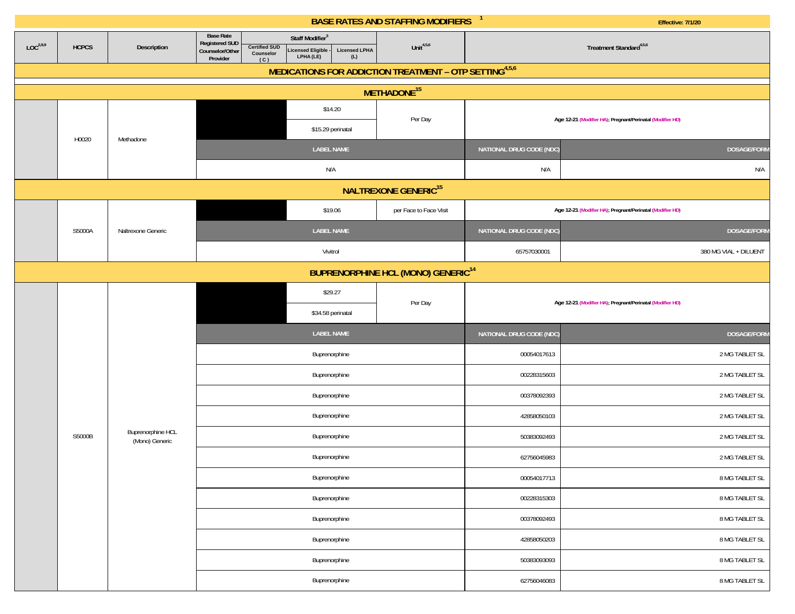|                      |                                                      |                                     |                                                                                                   |                                                                                         | <b>BASE RATES AND STAFFING MODIFIERS</b> | $\mathbf{1}$             | <b>Effective: 7/1/20</b>                                  |  |  |  |  |  |
|----------------------|------------------------------------------------------|-------------------------------------|---------------------------------------------------------------------------------------------------|-----------------------------------------------------------------------------------------|------------------------------------------|--------------------------|-----------------------------------------------------------|--|--|--|--|--|
| LOC <sup>2,8,9</sup> | <b>HCPCS</b>                                         | Description                         | <b>Base Rate</b><br><b>Registered SUD</b><br><b>Certified SUD</b><br>Counselor/Other<br>Counselor | Staff Modifier <sup>3</sup><br>Licensed Eligible -<br>LPHA (LE)<br><b>Licensed LPHA</b> | Unit $4,5,6$                             |                          | Treatment Standard <sup>4,5,6</sup>                       |  |  |  |  |  |
|                      |                                                      |                                     | Provider<br>(C)                                                                                   | (L)<br>MEDICATIONS FOR ADDICTION TREATMENT - OTP SETTING <sup>4,5,6</sup>               |                                          |                          |                                                           |  |  |  |  |  |
|                      |                                                      |                                     |                                                                                                   |                                                                                         | METHADONE <sup>15</sup>                  |                          |                                                           |  |  |  |  |  |
|                      |                                                      |                                     |                                                                                                   | \$14.20                                                                                 |                                          |                          |                                                           |  |  |  |  |  |
|                      |                                                      |                                     |                                                                                                   | \$15.29 perinatal                                                                       | Per Day                                  |                          | Age 12-21 (Modifier HA); Pregnant/Perinatal (Modifier HD) |  |  |  |  |  |
|                      | H0020                                                | Methadone                           |                                                                                                   | <b>LABEL NAME</b>                                                                       |                                          | NATIONAL DRUG CODE (NDC) | DOSAGE/FORM                                               |  |  |  |  |  |
|                      |                                                      |                                     |                                                                                                   | N/A                                                                                     |                                          | N/A                      | N/A                                                       |  |  |  |  |  |
|                      |                                                      |                                     |                                                                                                   |                                                                                         | <b>NALTREXONE GENERIC<sup>15</sup></b>   |                          |                                                           |  |  |  |  |  |
|                      |                                                      |                                     |                                                                                                   | \$19.06                                                                                 | per Face to Face Visit                   |                          | Age 12-21 (Modifier HA); Pregnant/Perinatal (Modifier HD) |  |  |  |  |  |
|                      | S5000A                                               | Naltrexone Generic                  |                                                                                                   | <b>LABEL NAME</b>                                                                       |                                          | NATIONAL DRUG CODE (NDC) | DOSAGE/FORM                                               |  |  |  |  |  |
|                      |                                                      |                                     |                                                                                                   | Vivitrol                                                                                |                                          | 65757030001              | 380 MG VIAL + DILUENT                                     |  |  |  |  |  |
|                      | <b>BUPRENORPHINE HCL (MONO) GENERIC<sup>14</sup></b> |                                     |                                                                                                   |                                                                                         |                                          |                          |                                                           |  |  |  |  |  |
|                      |                                                      |                                     |                                                                                                   | \$29.27                                                                                 |                                          |                          |                                                           |  |  |  |  |  |
|                      |                                                      |                                     |                                                                                                   | \$34.58 perinatal                                                                       | Per Day                                  |                          | Age 12-21 (Modifier HA), Pregnant/Perinatal (Modifier HD) |  |  |  |  |  |
|                      |                                                      |                                     |                                                                                                   | <b>LABEL NAME</b>                                                                       |                                          | NATIONAL DRUG CODE (NDC) | DOSAGE/FORM                                               |  |  |  |  |  |
|                      |                                                      |                                     |                                                                                                   | Buprenorphine                                                                           |                                          | 00054017613              | 2 MG TABLET SL                                            |  |  |  |  |  |
|                      |                                                      |                                     |                                                                                                   | Buprenorphine                                                                           |                                          | 00228315603              | 2 MG TABLET SL                                            |  |  |  |  |  |
|                      |                                                      |                                     |                                                                                                   | Buprenorphine                                                                           |                                          | 00378092393              | 2 MG TABLET SL                                            |  |  |  |  |  |
|                      |                                                      |                                     |                                                                                                   | Buprenorphine                                                                           |                                          | 42858050103              | 2 MG TABLET SL                                            |  |  |  |  |  |
|                      | S5000B                                               | Buprenorphine HCL<br>(Mono) Generic |                                                                                                   | Buprenorphine                                                                           |                                          | 50383092493              | 2 MG TABLET SL                                            |  |  |  |  |  |
|                      |                                                      |                                     |                                                                                                   | Buprenorphine                                                                           |                                          | 62756045983              | 2 MG TABLET SL                                            |  |  |  |  |  |
|                      |                                                      |                                     |                                                                                                   | Buprenorphine                                                                           |                                          | 00054017713              | 8 MG TABLET SL                                            |  |  |  |  |  |
|                      |                                                      |                                     |                                                                                                   | Buprenorphine                                                                           |                                          | 00228315303              | 8 MG TABLET SL                                            |  |  |  |  |  |
|                      |                                                      |                                     |                                                                                                   | Buprenorphine                                                                           |                                          | 00378092493              | 8 MG TABLET SL                                            |  |  |  |  |  |
|                      |                                                      |                                     |                                                                                                   | Buprenorphine                                                                           |                                          | 42858050203              | 8 MG TABLET SL                                            |  |  |  |  |  |
|                      |                                                      |                                     |                                                                                                   | Buprenorphine                                                                           |                                          | 50383093093              | 8 MG TABLET SL                                            |  |  |  |  |  |
|                      |                                                      |                                     |                                                                                                   | Buprenorphine                                                                           |                                          | 62756046083              | 8 MG TABLET SL                                            |  |  |  |  |  |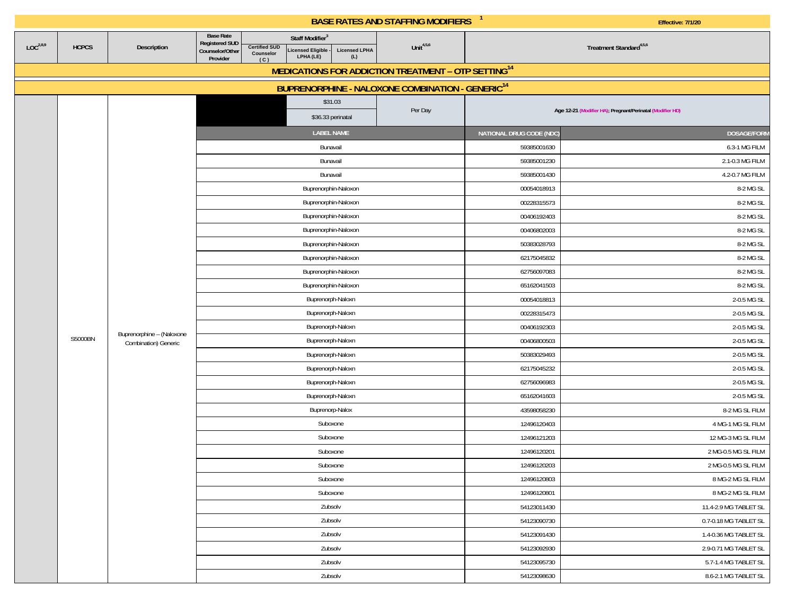|                      |              |                           |                                                                          |                                                                                                                  |                             | <b>BASE RATES AND STAFFING MODIFIERS</b>                        |                                                           | Effective: 7/1/20                   |  |  |
|----------------------|--------------|---------------------------|--------------------------------------------------------------------------|------------------------------------------------------------------------------------------------------------------|-----------------------------|-----------------------------------------------------------------|-----------------------------------------------------------|-------------------------------------|--|--|
| LOC <sup>2,8,9</sup> | <b>HCPCS</b> | Description               | <b>Base Rate</b><br><b>Registered SUD</b><br>Counselor/Other<br>Provider | Staff Modifier <sup>3</sup><br><b>Certified SUD</b><br><b>Licensed Eligible</b><br>Counselor<br>LPHA (LE)<br>(C) | <b>Licensed LPHA</b><br>(L) | Unit $4,5,6$                                                    |                                                           | Treatment Standard <sup>4,5,6</sup> |  |  |
|                      |              |                           |                                                                          |                                                                                                                  |                             | MEDICATIONS FOR ADDICTION TREATMENT - OTP SETTING <sup>14</sup> |                                                           |                                     |  |  |
|                      |              |                           |                                                                          |                                                                                                                  |                             | BUPRENORPHINE - NALOXONE COMBINATION - GENERIC <sup>14</sup>    |                                                           |                                     |  |  |
|                      |              |                           |                                                                          | \$31.03                                                                                                          |                             |                                                                 |                                                           |                                     |  |  |
|                      |              |                           |                                                                          | \$36.33 perinatal                                                                                                |                             | Per Day                                                         | Age 12-21 (Modifier HA); Pregnant/Perinatal (Modifier HD) |                                     |  |  |
|                      |              |                           |                                                                          | <b>LABEL NAME</b>                                                                                                |                             |                                                                 | NATIONAL DRUG CODE (NDC)                                  | <b>DOSAGE/FORM</b>                  |  |  |
|                      |              |                           |                                                                          | Bunavail                                                                                                         |                             |                                                                 | 59385001630                                               | 6.3-1 MG FILM                       |  |  |
|                      |              |                           |                                                                          | Bunavail                                                                                                         |                             |                                                                 | 59385001230                                               | 2.1-0.3 MG FILM                     |  |  |
|                      |              |                           |                                                                          | Bunavail                                                                                                         |                             |                                                                 | 59385001430                                               | 4.2-0.7 MG FILM                     |  |  |
|                      |              |                           |                                                                          | Buprenorphin-Naloxon                                                                                             |                             |                                                                 | 00054018913                                               | 8-2 MG SL                           |  |  |
|                      |              |                           |                                                                          | Buprenorphin-Naloxon                                                                                             |                             |                                                                 | 00228315573                                               | 8-2 MG SL                           |  |  |
|                      |              |                           |                                                                          | Buprenorphin-Naloxon                                                                                             |                             |                                                                 | 00406192403                                               | 8-2 MG SL                           |  |  |
|                      |              |                           |                                                                          | Buprenorphin-Naloxon                                                                                             |                             |                                                                 | 00406802003                                               | 8-2 MG SL                           |  |  |
|                      |              |                           |                                                                          | Buprenorphin-Naloxon                                                                                             |                             |                                                                 | 50383028793                                               | 8-2 MG SL                           |  |  |
|                      |              |                           |                                                                          | Buprenorphin-Naloxon                                                                                             |                             |                                                                 | 62175045832                                               | 8-2 MG SL                           |  |  |
|                      |              |                           |                                                                          | Buprenorphin-Naloxon                                                                                             |                             |                                                                 | 62756097083                                               | 8-2 MG SL                           |  |  |
|                      |              |                           |                                                                          | Buprenorphin-Naloxon                                                                                             |                             |                                                                 | 65162041503                                               | 8-2 MG SL                           |  |  |
|                      |              |                           |                                                                          | Buprenorph-Naloxn                                                                                                |                             |                                                                 | 00054018813                                               | 2-0.5 MG SL                         |  |  |
|                      |              |                           |                                                                          | Buprenorph-Naloxn                                                                                                |                             |                                                                 | 00228315473                                               | 2-0.5 MG SL                         |  |  |
|                      |              | Buprenorphine - (Naloxone |                                                                          | Buprenorph-Naloxn                                                                                                |                             |                                                                 | 00406192303                                               | 2-0.5 MG SL                         |  |  |
|                      | S5000BN      | Combination) Generic      |                                                                          | Buprenorph-Naloxn                                                                                                |                             |                                                                 | 00406800503                                               | 2-0.5 MG SL                         |  |  |
|                      |              |                           |                                                                          | Buprenorph-Naloxn                                                                                                |                             |                                                                 | 50383029493                                               | 2-0.5 MG SL                         |  |  |
|                      |              |                           |                                                                          | Buprenorph-Naloxn                                                                                                |                             |                                                                 | 62175045232                                               | 2-0.5 MG SL                         |  |  |
|                      |              |                           |                                                                          | Buprenorph-Naloxn                                                                                                |                             |                                                                 | 62756096983                                               | 2-0.5 MG SL                         |  |  |
|                      |              |                           |                                                                          | Buprenorph-Naloxn                                                                                                |                             |                                                                 | 65162041603                                               | 2-0.5 MG SL                         |  |  |
|                      |              |                           |                                                                          | Buprenorp-Nalox                                                                                                  |                             |                                                                 | 43598058230                                               | 8-2 MG SL FILM                      |  |  |
|                      |              |                           |                                                                          | Suboxone                                                                                                         |                             |                                                                 | 12496120403                                               | 4 MG-1 MG SL FILM                   |  |  |
|                      |              |                           |                                                                          | Suboxone                                                                                                         |                             |                                                                 | 12496121203                                               | 12 MG-3 MG SL FILM                  |  |  |
|                      |              |                           |                                                                          | Suboxone                                                                                                         |                             |                                                                 | 12496120201                                               | 2 MG-0.5 MG SL FILM                 |  |  |
|                      |              |                           |                                                                          | Suboxone                                                                                                         |                             |                                                                 | 12496120203                                               | 2 MG-0.5 MG SL FILM                 |  |  |
|                      |              |                           |                                                                          | Suboxone                                                                                                         |                             |                                                                 | 12496120803                                               | 8 MG-2 MG SL FILM                   |  |  |
|                      |              |                           |                                                                          | Suboxone                                                                                                         |                             |                                                                 | 12496120801                                               | 8 MG-2 MG SL FILM                   |  |  |
|                      |              |                           |                                                                          | Zubsolv                                                                                                          |                             |                                                                 | 54123011430                                               | 11.4-2.9 MG TABLET SL               |  |  |
|                      |              |                           |                                                                          | Zubsolv                                                                                                          |                             |                                                                 | 54123090730                                               | 0.7-0.18 MG TABLET SL               |  |  |
|                      |              |                           | Zubsolv<br>Zubsolv                                                       |                                                                                                                  |                             |                                                                 | 54123091430                                               | 1.4-0.36 MG TABLET SL               |  |  |
|                      |              |                           |                                                                          |                                                                                                                  |                             |                                                                 | 54123092930                                               | 2.9-0.71 MG TABLET SL               |  |  |
|                      |              |                           |                                                                          | Zubsolv                                                                                                          |                             |                                                                 | 54123095730                                               | 5.7-1.4 MG TABLET SL                |  |  |
|                      |              |                           |                                                                          | Zubsolv                                                                                                          |                             |                                                                 | 54123098630                                               | 8.6-2.1 MG TABLET SL                |  |  |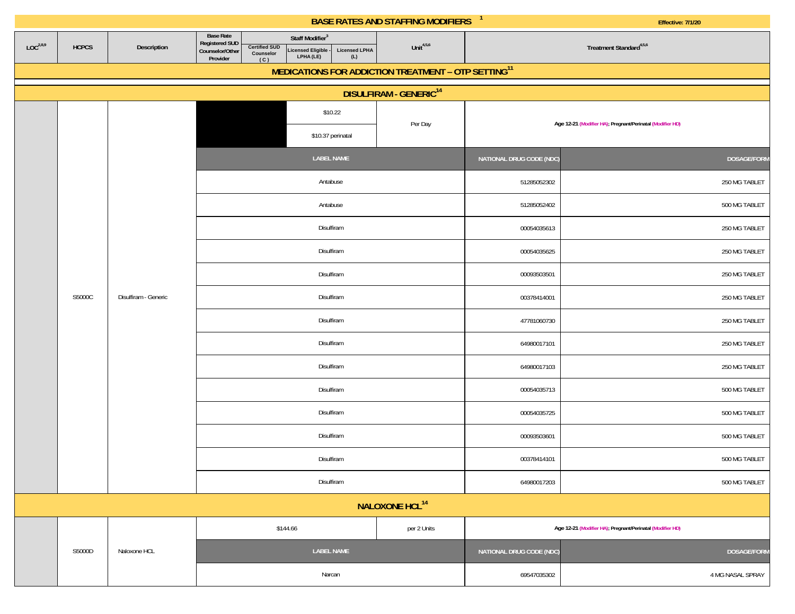|                      |              |                      |                                                                                            |                                                                                                | <b>BASE RATES AND STAFFING MODIFIERS</b> | $\mathbf{1}$<br><b>Effective: 7/1/20</b>                  |                                                           |  |
|----------------------|--------------|----------------------|--------------------------------------------------------------------------------------------|------------------------------------------------------------------------------------------------|------------------------------------------|-----------------------------------------------------------|-----------------------------------------------------------|--|
| LOC <sup>2,8,9</sup> | <b>HCPCS</b> | Description          | <b>Base Rate</b><br>Registered SUD<br>Counselor/Other<br><b>Certified SUD</b><br>Counselor | Staff Modifier <sup>3</sup><br>Licensed Eligible -<br>LPHA (LE)<br><b>Licensed LPHA</b><br>(L) | Unit $4,5,6$                             |                                                           | Treatment Standard <sup>4,5,6</sup>                       |  |
|                      |              |                      | Provider<br>(C)                                                                            | MEDICATIONS FOR ADDICTION TREATMENT - OTP SETTING <sup>11</sup>                                |                                          |                                                           |                                                           |  |
|                      |              |                      |                                                                                            |                                                                                                | <b>DISULFIRAM - GENERIC<sup>14</sup></b> |                                                           |                                                           |  |
|                      |              |                      |                                                                                            | \$10.22                                                                                        |                                          |                                                           |                                                           |  |
|                      |              |                      |                                                                                            | \$10.37 perinatal                                                                              | Per Day                                  | Age 12-21 (Modifier HA); Pregnant/Perinatal (Modifier HD) |                                                           |  |
|                      |              |                      |                                                                                            | <b>LABEL NAME</b>                                                                              |                                          | NATIONAL DRUG CODE (NDC)                                  | DOSAGE/FORM                                               |  |
|                      |              |                      |                                                                                            | Antabuse                                                                                       |                                          | 51285052302                                               | 250 MG TABLET                                             |  |
|                      |              |                      |                                                                                            | Antabuse                                                                                       |                                          | 51285052402                                               | 500 MG TABLET                                             |  |
|                      |              |                      |                                                                                            | Disulfiram                                                                                     |                                          | 00054035613                                               | 250 MG TABLET                                             |  |
|                      |              |                      |                                                                                            | Disulfiram                                                                                     |                                          | 00054035625                                               | 250 MG TABLET                                             |  |
|                      |              |                      |                                                                                            | Disulfiram                                                                                     |                                          | 00093503501                                               | 250 MG TABLET                                             |  |
|                      | S5000C       | Disulfiram - Generic |                                                                                            | Disulfiram                                                                                     |                                          | 00378414001                                               | 250 MG TABLET                                             |  |
|                      |              |                      |                                                                                            | Disulfiram                                                                                     |                                          | 47781060730                                               | 250 MG TABLET                                             |  |
|                      |              |                      |                                                                                            | Disulfiram                                                                                     |                                          | 64980017101                                               | 250 MG TABLET                                             |  |
|                      |              |                      |                                                                                            | Disulfiram                                                                                     |                                          | 64980017103                                               | 250 MG TABLET                                             |  |
|                      |              |                      |                                                                                            | Disulfiram                                                                                     |                                          | 00054035713                                               | 500 MG TABLET                                             |  |
|                      |              |                      |                                                                                            | Disulfiram                                                                                     |                                          | 00054035725                                               | 500 MG TABLET                                             |  |
|                      |              |                      |                                                                                            | Disulfiram                                                                                     |                                          | 00093503601                                               | 500 MG TABLET                                             |  |
|                      |              |                      |                                                                                            | Disulfiram                                                                                     |                                          | 00378414101                                               | 500 MG TABLET                                             |  |
|                      |              |                      |                                                                                            | Disulfiram                                                                                     |                                          | 64980017203                                               | 500 MG TABLET                                             |  |
|                      |              |                      |                                                                                            | NALOXONE HCL <sup>14</sup>                                                                     |                                          |                                                           |                                                           |  |
|                      |              |                      |                                                                                            | \$144.66                                                                                       | per 2 Units                              |                                                           | Age 12-21 (Modifier HA); Pregnant/Perinatal (Modifier HD) |  |
|                      | S5000D       | Naloxone HCL         |                                                                                            | <b>LABEL NAME</b>                                                                              |                                          | NATIONAL DRUG CODE (NDC)                                  | <b>DOSAGE/FORM</b>                                        |  |
|                      |              |                      |                                                                                            | Narcan                                                                                         |                                          | 69547035302                                               | 4 MG NASAL SPRAY                                          |  |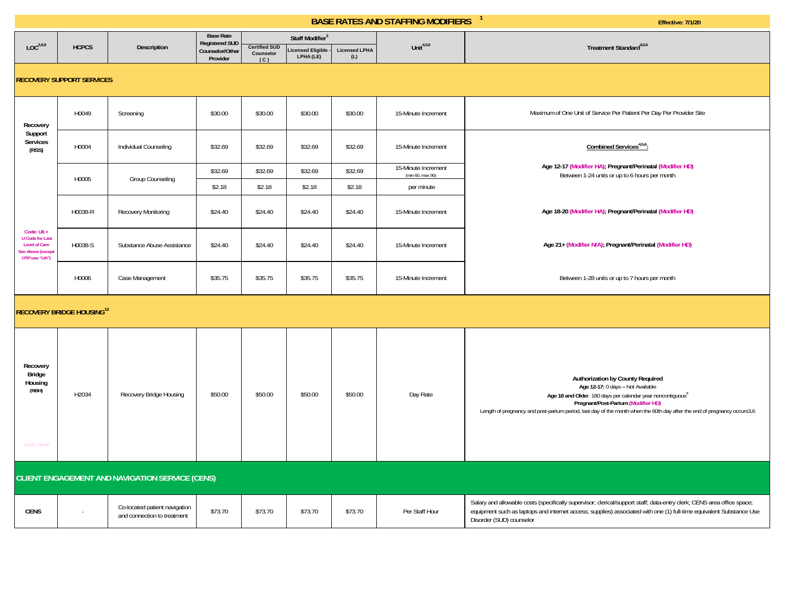|                                                                                                   |                                              | <b>Base Rate</b><br>Staff Modifier <sup>3</sup><br><b>Registered SUD</b> |                             |                                          |                               |                             |                                         |                                                                                                                                                                                                                                                                                                                    |
|---------------------------------------------------------------------------------------------------|----------------------------------------------|--------------------------------------------------------------------------|-----------------------------|------------------------------------------|-------------------------------|-----------------------------|-----------------------------------------|--------------------------------------------------------------------------------------------------------------------------------------------------------------------------------------------------------------------------------------------------------------------------------------------------------------------|
| LOC <sup>2,8,9</sup>                                                                              | <b>HCPCS</b>                                 | Description                                                              | Counselor/Other<br>Provider | <b>Certified SUD</b><br>Counselor<br>(C) | icensed Eligible<br>LPHA (LE) | <b>Licensed LPHA</b><br>(L) | Unit $4,5,6$                            | Treatment Standard <sup>4,5,6</sup>                                                                                                                                                                                                                                                                                |
|                                                                                                   | <b>RECOVERY SUPPORT SERVICES</b>             |                                                                          |                             |                                          |                               |                             |                                         |                                                                                                                                                                                                                                                                                                                    |
| Recovery                                                                                          | H0049                                        | Screening                                                                | \$30.00                     | \$30.00                                  | \$30.00                       | \$30.00                     | 15-Minute Increment                     | Maximum of One Unit of Service Per Patient Per Day Per Provider Site                                                                                                                                                                                                                                               |
| Support<br>Services<br>(RSS)                                                                      | H0004                                        | Individual Counseling                                                    | \$32.69                     | \$32.69                                  | \$32.69                       | \$32.69                     | 15-Minute Increment                     | Combined Services <sup>4,5,6</sup> :                                                                                                                                                                                                                                                                               |
|                                                                                                   |                                              |                                                                          | \$32.69                     | \$32.69                                  | \$32.69                       | \$32.69                     | 15-Minute Increment<br>(min 60, max 90) | Age 12-17 (Modifier HA); Pregnant/Perinatal (Modifier HD)<br>Between 1-24 units or up to 6 hours per month                                                                                                                                                                                                         |
|                                                                                                   | H0005                                        | Group Counseling                                                         | \$2.18                      | \$2.18                                   | \$2.18                        | \$2.18                      | per minute                              |                                                                                                                                                                                                                                                                                                                    |
|                                                                                                   | H0038-R                                      | <b>Recovery Monitoring</b>                                               | \$24.40                     | \$24.40                                  | \$24.40                       | \$24.40                     | 15-Minute Increment                     | Age 18-20 (Modifier HA); Pregnant/Perinatal (Modifier HD)                                                                                                                                                                                                                                                          |
| Code: U6+<br><b>U</b> Code for Last<br><b>Level of Care</b><br>See Above (except<br>OTP use "UA") | H0038-S                                      | Substance Abuse Assistance                                               | \$24.40                     | \$24.40                                  | \$24.40                       | \$24.40                     | 15-Minute Increment                     | Age 21+ (Modifier N/A); Pregnant/Perinatal (Modifier HD)                                                                                                                                                                                                                                                           |
|                                                                                                   | H0006                                        | Case Management                                                          | \$35.75                     | \$35.75                                  | \$35.75                       | \$35.75                     | 15-Minute Increment                     | Between 1-28 units or up to 7 hours per month                                                                                                                                                                                                                                                                      |
|                                                                                                   | <b>RECOVERY BRIDGE HOUSING</b> <sup>12</sup> |                                                                          |                             |                                          |                               |                             |                                         |                                                                                                                                                                                                                                                                                                                    |
| Recovery<br>Bridge<br>Housing<br>(RBH)<br>Code: None                                              | H2034                                        | Recovery Bridge Housing                                                  | \$50.00                     | \$50.00                                  | \$50.00                       | \$50.00                     | Day Rate                                | Authorization by County Required<br>Age 12-17: 0 days - Not Available<br>Age 18 and Older: 180 days per calendar year noncontiguous <sup>8</sup><br>Pregnant/Post-Partum (Modifier HD)<br>Length of pregnancy and post-partum period, last day of the month when the 60th day after the end of pregnancy occurs3,6 |
|                                                                                                   |                                              | <b>CLIENT ENGAGEMENT AND NAVIGATION SERVICE (CENS)</b>                   |                             |                                          |                               |                             |                                         |                                                                                                                                                                                                                                                                                                                    |
| <b>CENS</b>                                                                                       |                                              | Co-located patient navigation<br>and connection to treatment             | \$73.70                     | \$73.70                                  | \$73.70                       | \$73.70                     | Per Staff Hour                          | Salary and allowable costs (specifically supervisor; clerical/support staff; data-entry clerk; CENS area office space;<br>equipment such as laptops and internet access; supplies) associated with one (1) full-time equivalent Substance Use<br>$D1 - 1 - 1 - 1 - 1 - 1 - 1$                                      |

Disorder (SUD) counselor

**BASE RATES AND STAFFING MODIFIERS**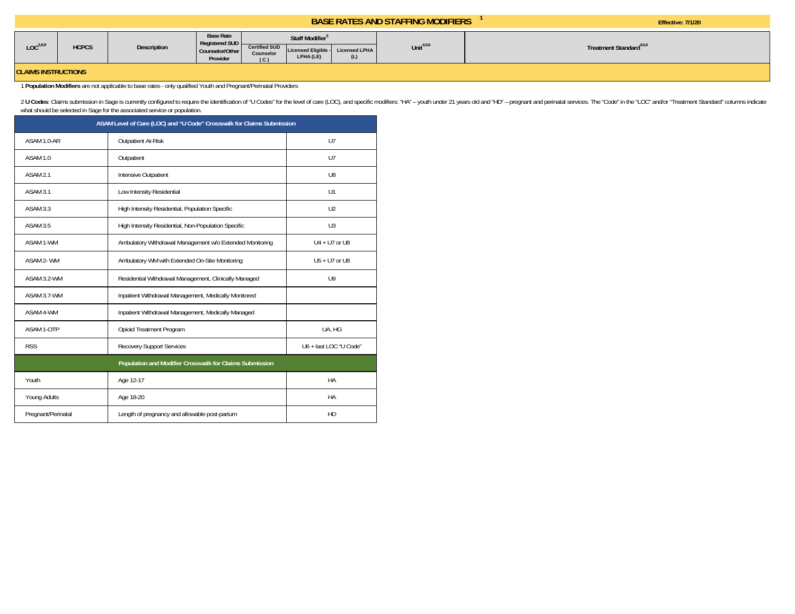Effective: 7/1/20

| LOC <sup>2,8,9</sup> | <b>HCPCS</b> | Description | <b>Base Rate</b>                         | Staff Modifier <sup>3</sup> |                     |               |              |                                     |
|----------------------|--------------|-------------|------------------------------------------|-----------------------------|---------------------|---------------|--------------|-------------------------------------|
|                      |              |             | <b>Registered SUD</b><br>Counselor/Other | <b>Certified SUD</b>        | Licensed Eligible - | Licensed LPHA | Unit $4,5,6$ | freatment Standard <sup>4,5,6</sup> |
|                      |              |             | Provider                                 | <b>Counselor</b><br>(C)     | LPHA (LE)           |               |              |                                     |
|                      |              |             |                                          |                             |                     |               |              |                                     |

**CLAIMS INSTRUCTIONS** 

1 **Population Modifiers** are not applicable to base rates - only qualified Youth and Pregnant/Perinatal Providers

2 U Codes: Claims submission in Sage is currently configured to require the identification of "U Codes" for the level of care (LOC), and specific modifiers: "HA" - youth under 21 years old and "HD" - pregnant and perinatal what should be selected in Sage for the associated service or population.

| ASAM Level of Care (LOC) and "U Code" Crosswalk for Claims Submission |                                                          |                        |  |  |  |  |
|-----------------------------------------------------------------------|----------------------------------------------------------|------------------------|--|--|--|--|
| ASAM 1.0-AR                                                           | Outpatient At-Risk                                       | U <sub>7</sub>         |  |  |  |  |
| ASAM 1.0                                                              | Outpatient                                               | U7                     |  |  |  |  |
| ASAM <sub>2.1</sub>                                                   | Intensive Outpatient                                     | U8                     |  |  |  |  |
| ASAM 3.1                                                              | Low Intensity Residential                                | U1                     |  |  |  |  |
| ASAM 3.3                                                              | High Intensity Residential, Population Specific          | U2                     |  |  |  |  |
| ASAM 3.5                                                              | High Intensity Residential, Non-Population Specific      | U <sub>3</sub>         |  |  |  |  |
| ASAM 1-WM                                                             | Ambulatory Withdrawal Management w/o Extended Monitoring | $U4 + U7$ or U8        |  |  |  |  |
| ASAM 2-WM                                                             | Ambulatory WM with Extended On-Site Monitoring           | $U5 + U7$ or U8        |  |  |  |  |
| ASAM 3.2-WM                                                           | Residential Withdrawal Management, Clinically Managed    | U <sub>9</sub>         |  |  |  |  |
| ASAM 3.7-WM                                                           | Inpatient Withdrawal Management, Medically Monitored     |                        |  |  |  |  |
| ASAM 4-WM                                                             | Inpatient Withdrawal Management, Medically Managed       |                        |  |  |  |  |
| ASAM 1-OTP                                                            | Opioid Treatment Program                                 | UA, HG                 |  |  |  |  |
| <b>RSS</b>                                                            | <b>Recovery Support Services</b>                         | U6 + last LOC "U Code" |  |  |  |  |
| Population and Modifier Crosswalk for Claims Submission               |                                                          |                        |  |  |  |  |
| Youth                                                                 | Age 12-17                                                | HA                     |  |  |  |  |
| Young Adults                                                          | Age 18-20                                                | HA                     |  |  |  |  |
| Pregnant/Perinatal                                                    | Length of pregnancy and allowable post-partum            | HD                     |  |  |  |  |